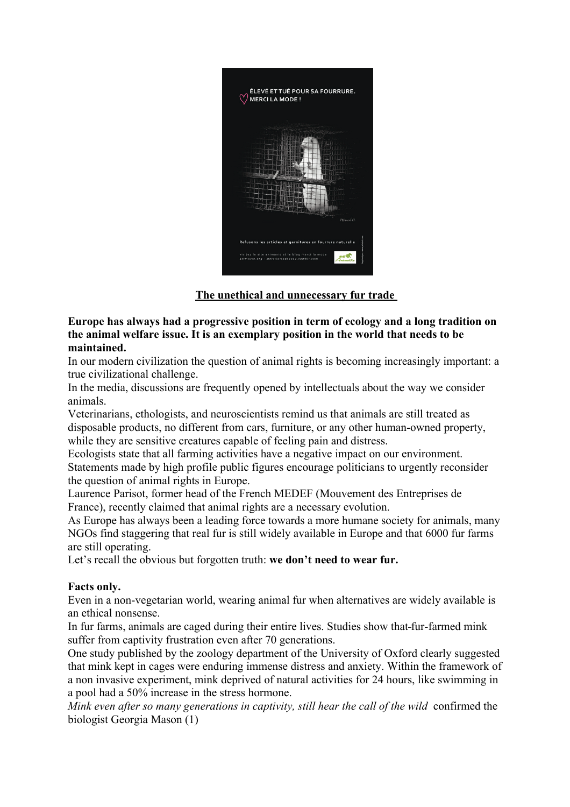

## **The unethical and unnecessary fur trade**

### **Europe has always had a progressive position in term of ecology and a long tradition on the animal welfare issue. It is an exemplary position in the world that needs to be maintained.**

In our modern civilization the question of animal rights is becoming increasingly important: a true civilizational challenge.

In the media, discussions are frequently opened by intellectuals about the way we consider animals.

Veterinarians, ethologists, and neuroscientists remind us that animals are still treated as disposable products, no different from cars, furniture, or any other human-owned property, while they are sensitive creatures capable of feeling pain and distress.

Ecologists state that all farming activities have a negative impact on our environment. Statements made by high profile public figures encourage politicians to urgently reconsider the question of animal rights in Europe.

Laurence Parisot, former head of the French MEDEF (Mouvement des Entreprises de France), recently claimed that animal rights are a necessary evolution.

As Europe has always been a leading force towards a more humane society for animals, many NGOs find staggering that real fur is still widely available in Europe and that 6000 fur farms are still operating.

Let's recall the obvious but forgotten truth: **we don't need to wear fur.**

## **Facts only.**

Even in a non-vegetarian world, wearing animal fur when alternatives are widely available is an ethical nonsense.

In fur farms, animals are caged during their entire lives. Studies show that fur-farmed mink suffer from captivity frustration even after 70 generations.

One study published by the zoology department of the University of Oxford clearly suggested that mink kept in cages were enduring immense distress and anxiety. Within the framework of a non invasive experiment, mink deprived of natural activities for 24 hours, like swimming in a pool had a 50% increase in the stress hormone.

*Mink even after so many generations in captivity, still hear the call of the wild* confirmed the biologist Georgia Mason (1)